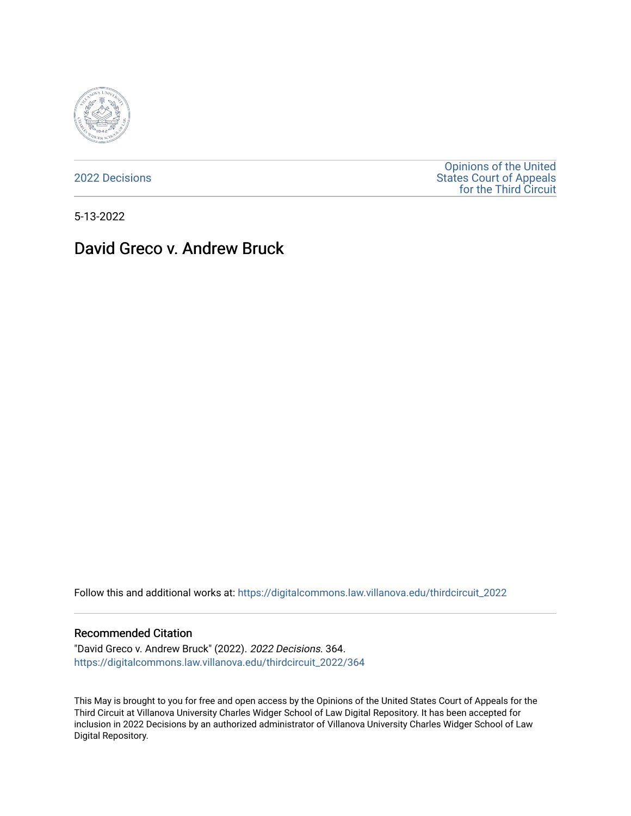

[2022 Decisions](https://digitalcommons.law.villanova.edu/thirdcircuit_2022)

[Opinions of the United](https://digitalcommons.law.villanova.edu/thirdcircuit)  [States Court of Appeals](https://digitalcommons.law.villanova.edu/thirdcircuit)  [for the Third Circuit](https://digitalcommons.law.villanova.edu/thirdcircuit) 

5-13-2022

## David Greco v. Andrew Bruck

Follow this and additional works at: [https://digitalcommons.law.villanova.edu/thirdcircuit\\_2022](https://digitalcommons.law.villanova.edu/thirdcircuit_2022?utm_source=digitalcommons.law.villanova.edu%2Fthirdcircuit_2022%2F364&utm_medium=PDF&utm_campaign=PDFCoverPages) 

## Recommended Citation

"David Greco v. Andrew Bruck" (2022). 2022 Decisions. 364. [https://digitalcommons.law.villanova.edu/thirdcircuit\\_2022/364](https://digitalcommons.law.villanova.edu/thirdcircuit_2022/364?utm_source=digitalcommons.law.villanova.edu%2Fthirdcircuit_2022%2F364&utm_medium=PDF&utm_campaign=PDFCoverPages)

This May is brought to you for free and open access by the Opinions of the United States Court of Appeals for the Third Circuit at Villanova University Charles Widger School of Law Digital Repository. It has been accepted for inclusion in 2022 Decisions by an authorized administrator of Villanova University Charles Widger School of Law Digital Repository.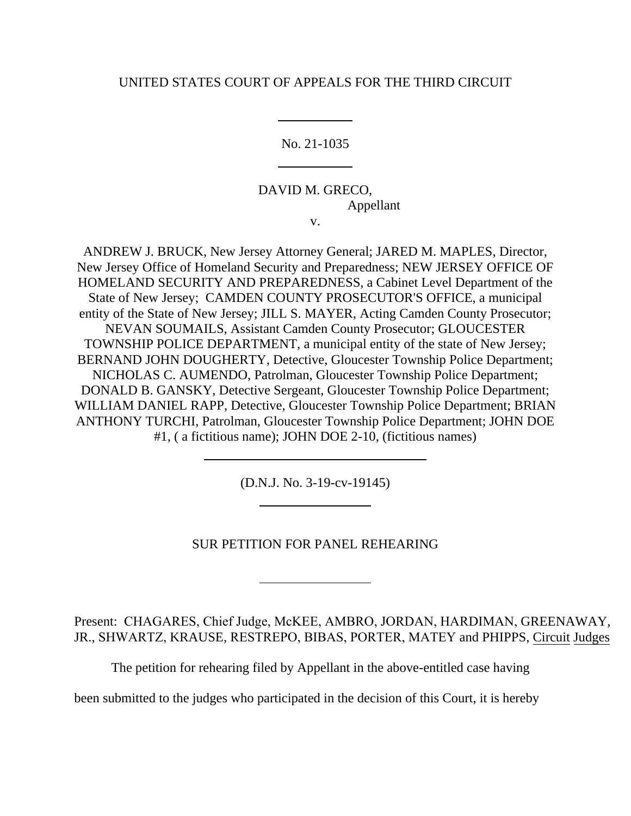## UNITED STATES COURT OF APPEALS FOR THE THIRD CIRCUIT

No. 21-1035

DAVID M. GRECO, Appellant v.

ANDREW J. BRUCK, New Jersey Attorney General; JARED M. MAPLES, Director, New Jersey Office of Homeland Security and Preparedness; NEW JERSEY OFFICE OF HOMELAND SECURITY AND PREPAREDNESS, a Cabinet Level Department of the State of New Jersey; CAMDEN COUNTY PROSECUTOR'S OFFICE, a municipal entity of the State of New Jersey; JILL S. MAYER, Acting Camden County Prosecutor; NEVAN SOUMAILS, Assistant Camden County Prosecutor; GLOUCESTER TOWNSHIP POLICE DEPARTMENT, a municipal entity of the state of New Jersey; BERNAND JOHN DOUGHERTY, Detective, Gloucester Township Police Department; NICHOLAS C. AUMENDO, Patrolman, Gloucester Township Police Department; DONALD B. GANSKY, Detective Sergeant, Gloucester Township Police Department; WILLIAM DANIEL RAPP, Detective, Gloucester Township Police Department; BRIAN ANTHONY TURCHI, Patrolman, Gloucester Township Police Department; JOHN DOE #1, ( a fictitious name); JOHN DOE 2-10, (fictitious names)

(D.N.J. No. 3-19-cv-19145)

SUR PETITION FOR PANEL REHEARING

Present: CHAGARES, Chief Judge, McKEE, AMBRO, JORDAN, HARDIMAN, GREENAWAY, JR., SHWARTZ, KRAUSE, RESTREPO, BIBAS, PORTER, MATEY and PHIPPS, Circuit Judges

The petition for rehearing filed by Appellant in the above-entitled case having

been submitted to the judges who participated in the decision of this Court, it is hereby